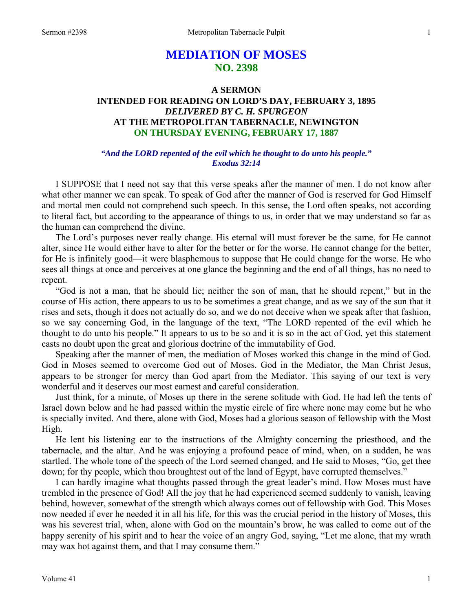# **MEDIATION OF MOSES NO. 2398**

## **A SERMON INTENDED FOR READING ON LORD'S DAY, FEBRUARY 3, 1895**  *DELIVERED BY C. H. SPURGEON*  **AT THE METROPOLITAN TABERNACLE, NEWINGTON ON THURSDAY EVENING, FEBRUARY 17, 1887**

#### *"And the LORD repented of the evil which he thought to do unto his people." Exodus 32:14*

I SUPPOSE that I need not say that this verse speaks after the manner of men. I do not know after what other manner we can speak. To speak of God after the manner of God is reserved for God Himself and mortal men could not comprehend such speech. In this sense, the Lord often speaks, not according to literal fact, but according to the appearance of things to us, in order that we may understand so far as the human can comprehend the divine.

 The Lord's purposes never really change. His eternal will must forever be the same, for He cannot alter, since He would either have to alter for the better or for the worse. He cannot change for the better, for He is infinitely good—it were blasphemous to suppose that He could change for the worse. He who sees all things at once and perceives at one glance the beginning and the end of all things, has no need to repent.

 "God is not a man, that he should lie; neither the son of man, that he should repent," but in the course of His action, there appears to us to be sometimes a great change, and as we say of the sun that it rises and sets, though it does not actually do so, and we do not deceive when we speak after that fashion, so we say concerning God, in the language of the text, "The LORD repented of the evil which he thought to do unto his people." It appears to us to be so and it is so in the act of God, yet this statement casts no doubt upon the great and glorious doctrine of the immutability of God.

 Speaking after the manner of men, the mediation of Moses worked this change in the mind of God. God in Moses seemed to overcome God out of Moses. God in the Mediator, the Man Christ Jesus, appears to be stronger for mercy than God apart from the Mediator. This saying of our text is very wonderful and it deserves our most earnest and careful consideration.

 Just think, for a minute, of Moses up there in the serene solitude with God. He had left the tents of Israel down below and he had passed within the mystic circle of fire where none may come but he who is specially invited. And there, alone with God, Moses had a glorious season of fellowship with the Most High.

 He lent his listening ear to the instructions of the Almighty concerning the priesthood, and the tabernacle, and the altar. And he was enjoying a profound peace of mind, when, on a sudden, he was startled. The whole tone of the speech of the Lord seemed changed, and He said to Moses, "Go, get thee down; for thy people, which thou broughtest out of the land of Egypt, have corrupted themselves."

 I can hardly imagine what thoughts passed through the great leader's mind. How Moses must have trembled in the presence of God! All the joy that he had experienced seemed suddenly to vanish, leaving behind, however, somewhat of the strength which always comes out of fellowship with God. This Moses now needed if ever he needed it in all his life, for this was the crucial period in the history of Moses, this was his severest trial, when, alone with God on the mountain's brow, he was called to come out of the happy serenity of his spirit and to hear the voice of an angry God, saying, "Let me alone, that my wrath may wax hot against them, and that I may consume them."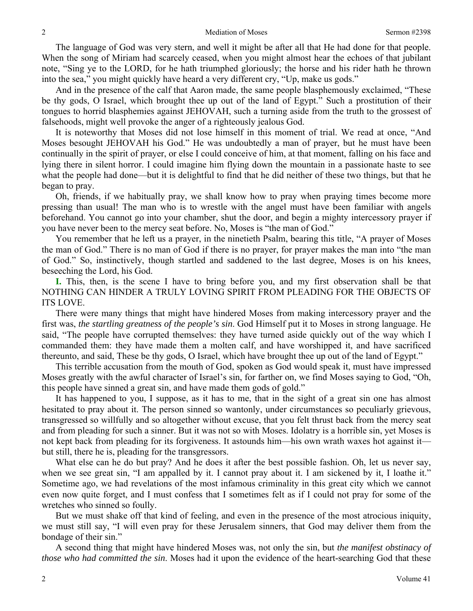The language of God was very stern, and well it might be after all that He had done for that people. When the song of Miriam had scarcely ceased, when you might almost hear the echoes of that jubilant note, "Sing ye to the LORD, for he hath triumphed gloriously; the horse and his rider hath he thrown into the sea," you might quickly have heard a very different cry, "Up, make us gods."

 And in the presence of the calf that Aaron made, the same people blasphemously exclaimed, "These be thy gods, O Israel, which brought thee up out of the land of Egypt." Such a prostitution of their tongues to horrid blasphemies against JEHOVAH, such a turning aside from the truth to the grossest of falsehoods, might well provoke the anger of a righteously jealous God.

 It is noteworthy that Moses did not lose himself in this moment of trial. We read at once, "And Moses besought JEHOVAH his God." He was undoubtedly a man of prayer, but he must have been continually in the spirit of prayer, or else I could conceive of him, at that moment, falling on his face and lying there in silent horror. I could imagine him flying down the mountain in a passionate haste to see what the people had done—but it is delightful to find that he did neither of these two things, but that he began to pray.

 Oh, friends, if we habitually pray, we shall know how to pray when praying times become more pressing than usual! The man who is to wrestle with the angel must have been familiar with angels beforehand. You cannot go into your chamber, shut the door, and begin a mighty intercessory prayer if you have never been to the mercy seat before. No, Moses is "the man of God."

 You remember that he left us a prayer, in the ninetieth Psalm, bearing this title, "A prayer of Moses the man of God." There is no man of God if there is no prayer, for prayer makes the man into "the man of God." So, instinctively, though startled and saddened to the last degree, Moses is on his knees, beseeching the Lord, his God.

**I.** This, then, is the scene I have to bring before you, and my first observation shall be that NOTHING CAN HINDER A TRULY LOVING SPIRIT FROM PLEADING FOR THE OBJECTS OF ITS LOVE.

 There were many things that might have hindered Moses from making intercessory prayer and the first was, *the startling greatness of the people's sin*. God Himself put it to Moses in strong language. He said, "The people have corrupted themselves: they have turned aside quickly out of the way which I commanded them: they have made them a molten calf, and have worshipped it, and have sacrificed thereunto, and said, These be thy gods, O Israel, which have brought thee up out of the land of Egypt."

 This terrible accusation from the mouth of God, spoken as God would speak it, must have impressed Moses greatly with the awful character of Israel's sin, for farther on, we find Moses saying to God, "Oh, this people have sinned a great sin, and have made them gods of gold."

 It has happened to you, I suppose, as it has to me, that in the sight of a great sin one has almost hesitated to pray about it. The person sinned so wantonly, under circumstances so peculiarly grievous, transgressed so willfully and so altogether without excuse, that you felt thrust back from the mercy seat and from pleading for such a sinner. But it was not so with Moses. Idolatry is a horrible sin, yet Moses is not kept back from pleading for its forgiveness. It astounds him—his own wrath waxes hot against it but still, there he is, pleading for the transgressors.

 What else can he do but pray? And he does it after the best possible fashion. Oh, let us never say, when we see great sin, "I am appalled by it. I cannot pray about it. I am sickened by it, I loathe it." Sometime ago, we had revelations of the most infamous criminality in this great city which we cannot even now quite forget, and I must confess that I sometimes felt as if I could not pray for some of the wretches who sinned so foully.

 But we must shake off that kind of feeling, and even in the presence of the most atrocious iniquity, we must still say, "I will even pray for these Jerusalem sinners, that God may deliver them from the bondage of their sin."

 A second thing that might have hindered Moses was, not only the sin, but *the manifest obstinacy of those who had committed the sin*. Moses had it upon the evidence of the heart-searching God that these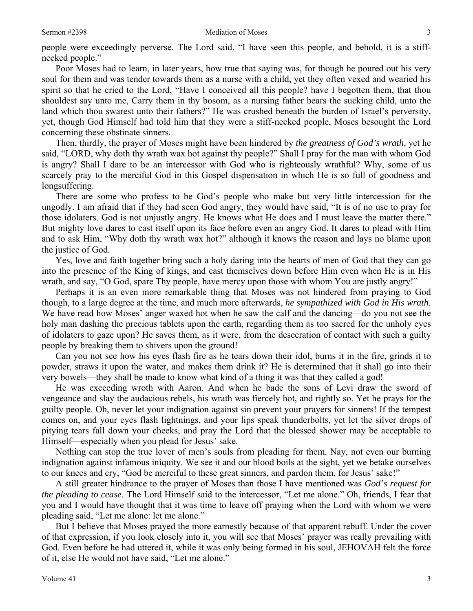people were exceedingly perverse. The Lord said, "I have seen this people, and behold, it is a stiffnecked people."

 Poor Moses had to learn, in later years, how true that saying was, for though he poured out his very soul for them and was tender towards them as a nurse with a child, yet they often vexed and wearied his spirit so that he cried to the Lord, "Have I conceived all this people? have I begotten them, that thou shouldest say unto me, Carry them in thy bosom, as a nursing father bears the sucking child, unto the land which thou swarest unto their fathers?" He was crushed beneath the burden of Israel's perversity, yet, though God Himself had told him that they were a stiff-necked people, Moses besought the Lord concerning these obstinate sinners.

 Then, thirdly, the prayer of Moses might have been hindered by *the greatness of God's wrath,* yet he said, "LORD, why doth thy wrath wax hot against thy people?" Shall I pray for the man with whom God is angry? Shall I dare to be an intercessor with God who is righteously wrathful? Why, some of us scarcely pray to the merciful God in this Gospel dispensation in which He is so full of goodness and longsuffering.

 There are some who profess to be God's people who make but very little intercession for the ungodly. I am afraid that if they had seen God angry, they would have said, "It is of no use to pray for those idolaters. God is not unjustly angry. He knows what He does and I must leave the matter there." But mighty love dares to cast itself upon its face before even an angry God. It dares to plead with Him and to ask Him, "Why doth thy wrath wax hot?" although it knows the reason and lays no blame upon the justice of God.

 Yes, love and faith together bring such a holy daring into the hearts of men of God that they can go into the presence of the King of kings, and cast themselves down before Him even when He is in His wrath, and say, "O God, spare Thy people, have mercy upon those with whom You are justly angry!"

 Perhaps it is an even more remarkable thing that Moses was not hindered from praying to God though, to a large degree at the time, and much more afterwards, *he sympathized with God in His wrath*. We have read how Moses' anger waxed hot when he saw the calf and the dancing—do you not see the holy man dashing the precious tablets upon the earth, regarding them as too sacred for the unholy eyes of idolaters to gaze upon? He saves them, as it were, from the desecration of contact with such a guilty people by breaking them to shivers upon the ground!

 Can you not see how his eyes flash fire as he tears down their idol, burns it in the fire, grinds it to powder, straws it upon the water, and makes them drink it? He is determined that it shall go into their very bowels—they shall be made to know what kind of a thing it was that they called a god!

 He was exceeding wroth with Aaron. And when he bade the sons of Levi draw the sword of vengeance and slay the audacious rebels, his wrath was fiercely hot, and rightly so. Yet he prays for the guilty people. Oh, never let your indignation against sin prevent your prayers for sinners! If the tempest comes on, and your eyes flash lightnings, and your lips speak thunderbolts, yet let the silver drops of pitying tears fall down your cheeks, and pray the Lord that the blessed shower may be acceptable to Himself—especially when you plead for Jesus' sake.

 Nothing can stop the true lover of men's souls from pleading for them. Nay, not even our burning indignation against infamous iniquity. We see it and our blood boils at the sight, yet we betake ourselves to our knees and cry, "God be merciful to these great sinners, and pardon them, for Jesus' sake!"

 A still greater hindrance to the prayer of Moses than those I have mentioned was *God's request for the pleading to cease*. The Lord Himself said to the intercessor, "Let me alone." Oh, friends, I fear that you and I would have thought that it was time to leave off praying when the Lord with whom we were pleading said, "Let me alone: let me alone."

 But I believe that Moses prayed the more earnestly because of that apparent rebuff. Under the cover of that expression, if you look closely into it, you will see that Moses' prayer was really prevailing with God. Even before he had uttered it, while it was only being formed in his soul, JEHOVAH felt the force of it, else He would not have said, "Let me alone."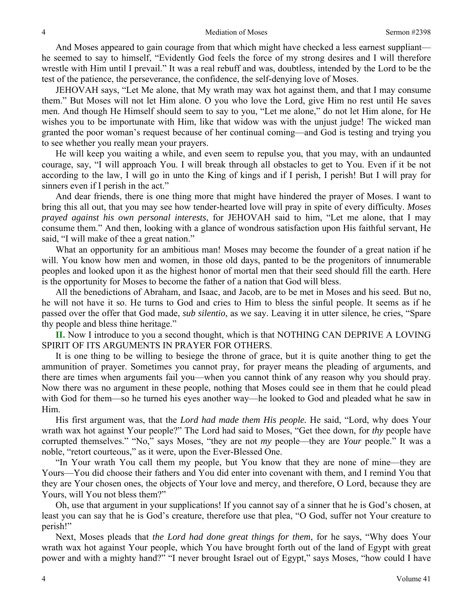And Moses appeared to gain courage from that which might have checked a less earnest suppliant he seemed to say to himself, "Evidently God feels the force of my strong desires and I will therefore wrestle with Him until I prevail." It was a real rebuff and was, doubtless, intended by the Lord to be the test of the patience, the perseverance, the confidence, the self-denying love of Moses.

 JEHOVAH says, "Let Me alone, that My wrath may wax hot against them, and that I may consume them." But Moses will not let Him alone. O you who love the Lord, give Him no rest until He saves men. And though He Himself should seem to say to you, "Let me alone," do not let Him alone, for He wishes you to be importunate with Him, like that widow was with the unjust judge! The wicked man granted the poor woman's request because of her continual coming—and God is testing and trying you to see whether you really mean your prayers.

 He will keep you waiting a while, and even seem to repulse you, that you may, with an undaunted courage, say, "I will approach You. I will break through all obstacles to get to You. Even if it be not according to the law, I will go in unto the King of kings and if I perish, I perish! But I will pray for sinners even if I perish in the act."

 And dear friends, there is one thing more that might have hindered the prayer of Moses. I want to bring this all out, that you may see how tender-hearted love will pray in spite of every difficulty. *Moses prayed against his own personal interests*, for JEHOVAH said to him, "Let me alone, that I may consume them." And then, looking with a glance of wondrous satisfaction upon His faithful servant, He said, "I will make of thee a great nation."

 What an opportunity for an ambitious man! Moses may become the founder of a great nation if he will. You know how men and women, in those old days, panted to be the progenitors of innumerable peoples and looked upon it as the highest honor of mortal men that their seed should fill the earth. Here is the opportunity for Moses to become the father of a nation that God will bless.

 All the benedictions of Abraham, and Isaac, and Jacob, are to be met in Moses and his seed. But no, he will not have it so. He turns to God and cries to Him to bless the sinful people. It seems as if he passed over the offer that God made, *sub silentio*, as we say. Leaving it in utter silence, he cries, "Spare thy people and bless thine heritage."

**II.** Now I introduce to you a second thought, which is that NOTHING CAN DEPRIVE A LOVING SPIRIT OF ITS ARGUMENTS IN PRAYER FOR OTHERS.

 It is one thing to be willing to besiege the throne of grace, but it is quite another thing to get the ammunition of prayer. Sometimes you cannot pray, for prayer means the pleading of arguments, and there are times when arguments fail you—when you cannot think of any reason why you should pray. Now there was no argument in these people, nothing that Moses could see in them that he could plead with God for them—so he turned his eyes another way—he looked to God and pleaded what he saw in Him.

 His first argument was, that the *Lord had made them His people.* He said, "Lord, why does Your wrath wax hot against Your people?" The Lord had said to Moses, "Get thee down, for *thy* people have corrupted themselves." "No," says Moses, "they are not *my* people—they are *Your* people." It was a noble, "retort courteous," as it were, upon the Ever-Blessed One.

 "In Your wrath You call them my people, but You know that they are none of mine—they are Yours—You did choose their fathers and You did enter into covenant with them, and I remind You that they are Your chosen ones, the objects of Your love and mercy, and therefore, O Lord, because they are Yours, will You not bless them?"

 Oh, use that argument in your supplications! If you cannot say of a sinner that he is God's chosen, at least you can say that he is God's creature, therefore use that plea, "O God, suffer not Your creature to perish!"

 Next, Moses pleads that *the Lord had done great things for them*, for he says, "Why does Your wrath wax hot against Your people, which You have brought forth out of the land of Egypt with great power and with a mighty hand?" "I never brought Israel out of Egypt," says Moses, "how could I have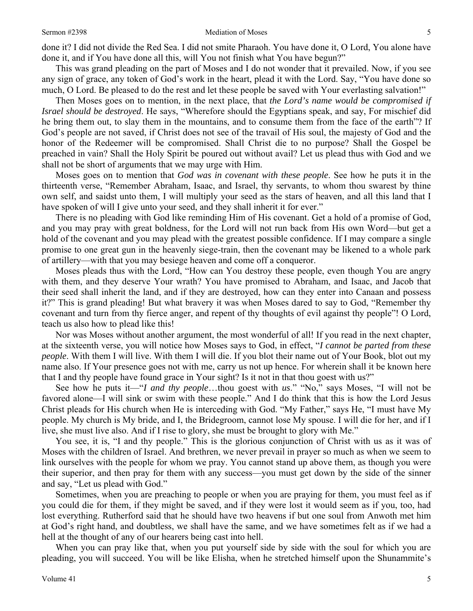This was grand pleading on the part of Moses and I do not wonder that it prevailed. Now, if you see any sign of grace, any token of God's work in the heart, plead it with the Lord. Say, "You have done so much, O Lord. Be pleased to do the rest and let these people be saved with Your everlasting salvation!"

 Then Moses goes on to mention, in the next place, that *the Lord's name would be compromised if Israel should be destroyed*. He says, "Wherefore should the Egyptians speak, and say, For mischief did he bring them out, to slay them in the mountains, and to consume them from the face of the earth"? If God's people are not saved, if Christ does not see of the travail of His soul, the majesty of God and the honor of the Redeemer will be compromised. Shall Christ die to no purpose? Shall the Gospel be preached in vain? Shall the Holy Spirit be poured out without avail? Let us plead thus with God and we shall not be short of arguments that we may urge with Him.

 Moses goes on to mention that *God was in covenant with these people*. See how he puts it in the thirteenth verse, "Remember Abraham, Isaac, and Israel, thy servants, to whom thou swarest by thine own self, and saidst unto them, I will multiply your seed as the stars of heaven, and all this land that I have spoken of will I give unto your seed, and they shall inherit it for ever."

 There is no pleading with God like reminding Him of His covenant. Get a hold of a promise of God, and you may pray with great boldness, for the Lord will not run back from His own Word—but get a hold of the covenant and you may plead with the greatest possible confidence. If I may compare a single promise to one great gun in the heavenly siege-train, then the covenant may be likened to a whole park of artillery—with that you may besiege heaven and come off a conqueror.

 Moses pleads thus with the Lord, "How can You destroy these people, even though You are angry with them, and they deserve Your wrath? You have promised to Abraham, and Isaac, and Jacob that their seed shall inherit the land, and if they are destroyed, how can they enter into Canaan and possess it?" This is grand pleading! But what bravery it was when Moses dared to say to God, "Remember thy covenant and turn from thy fierce anger, and repent of thy thoughts of evil against thy people"! O Lord, teach us also how to plead like this!

 Nor was Moses without another argument, the most wonderful of all! If you read in the next chapter, at the sixteenth verse, you will notice how Moses says to God, in effect, "*I cannot be parted from these people*. With them I will live. With them I will die. If you blot their name out of Your Book, blot out my name also. If Your presence goes not with me, carry us not up hence. For wherein shall it be known here that I and thy people have found grace in Your sight? Is it not in that thou goest with us?"

 See how he puts it—"*I and thy people*…thou goest with *us*." "No," says Moses, "I will not be favored alone—I will sink or swim with these people." And I do think that this is how the Lord Jesus Christ pleads for His church when He is interceding with God. "My Father," says He, "I must have My people. My church is My bride, and I, the Bridegroom, cannot lose My spouse. I will die for her, and if I live, she must live also. And if I rise to glory, she must be brought to glory with Me."

 You see, it is, "I and thy people." This is the glorious conjunction of Christ with us as it was of Moses with the children of Israel. And brethren, we never prevail in prayer so much as when we seem to link ourselves with the people for whom we pray. You cannot stand up above them, as though you were their superior, and then pray for them with any success—you must get down by the side of the sinner and say, "Let us plead with God."

 Sometimes, when you are preaching to people or when you are praying for them, you must feel as if you could die for them, if they might be saved, and if they were lost it would seem as if you, too, had lost everything. Rutherford said that he should have two heavens if but one soul from Anwoth met him at God's right hand, and doubtless, we shall have the same, and we have sometimes felt as if we had a hell at the thought of any of our hearers being cast into hell.

 When you can pray like that, when you put yourself side by side with the soul for which you are pleading, you will succeed. You will be like Elisha, when he stretched himself upon the Shunammite's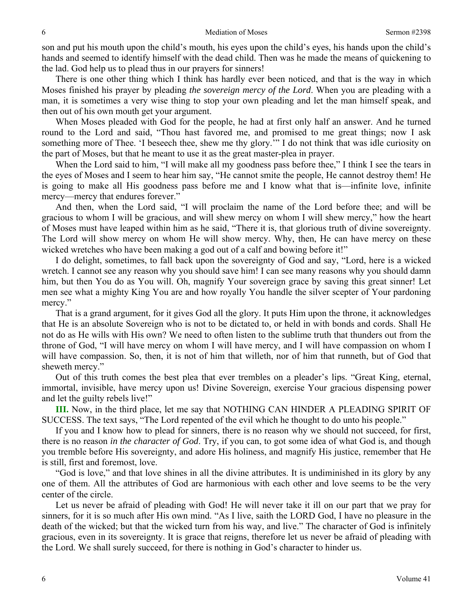son and put his mouth upon the child's mouth, his eyes upon the child's eyes, his hands upon the child's hands and seemed to identify himself with the dead child. Then was he made the means of quickening to the lad. God help us to plead thus in our prayers for sinners!

 There is one other thing which I think has hardly ever been noticed, and that is the way in which Moses finished his prayer by pleading *the sovereign mercy of the Lord*. When you are pleading with a man, it is sometimes a very wise thing to stop your own pleading and let the man himself speak, and then out of his own mouth get your argument.

 When Moses pleaded with God for the people, he had at first only half an answer. And he turned round to the Lord and said, "Thou hast favored me, and promised to me great things; now I ask something more of Thee. 'I beseech thee, shew me thy glory.'" I do not think that was idle curiosity on the part of Moses, but that he meant to use it as the great master-plea in prayer.

When the Lord said to him, "I will make all my goodness pass before thee," I think I see the tears in the eyes of Moses and I seem to hear him say, "He cannot smite the people, He cannot destroy them! He is going to make all His goodness pass before me and I know what that is—infinite love, infinite mercy—mercy that endures forever."

 And then, when the Lord said, "I will proclaim the name of the Lord before thee; and will be gracious to whom I will be gracious, and will shew mercy on whom I will shew mercy," how the heart of Moses must have leaped within him as he said, "There it is, that glorious truth of divine sovereignty. The Lord will show mercy on whom He will show mercy. Why, then, He can have mercy on these wicked wretches who have been making a god out of a calf and bowing before it!"

 I do delight, sometimes, to fall back upon the sovereignty of God and say, "Lord, here is a wicked wretch. I cannot see any reason why you should save him! I can see many reasons why you should damn him, but then You do as You will. Oh, magnify Your sovereign grace by saving this great sinner! Let men see what a mighty King You are and how royally You handle the silver scepter of Your pardoning mercy."

 That is a grand argument, for it gives God all the glory. It puts Him upon the throne, it acknowledges that He is an absolute Sovereign who is not to be dictated to, or held in with bonds and cords. Shall He not do as He wills with His own? We need to often listen to the sublime truth that thunders out from the throne of God, "I will have mercy on whom I will have mercy, and I will have compassion on whom I will have compassion. So, then, it is not of him that willeth, nor of him that runneth, but of God that sheweth mercy."

 Out of this truth comes the best plea that ever trembles on a pleader's lips. "Great King, eternal, immortal, invisible, have mercy upon us! Divine Sovereign, exercise Your gracious dispensing power and let the guilty rebels live!"

**III.** Now, in the third place, let me say that NOTHING CAN HINDER A PLEADING SPIRIT OF SUCCESS. The text says, "The Lord repented of the evil which he thought to do unto his people."

 If you and I know how to plead for sinners, there is no reason why we should not succeed, for first, there is no reason *in the character of God*. Try, if you can, to got some idea of what God is, and though you tremble before His sovereignty, and adore His holiness, and magnify His justice, remember that He is still, first and foremost, love.

 "God is love," and that love shines in all the divine attributes. It is undiminished in its glory by any one of them. All the attributes of God are harmonious with each other and love seems to be the very center of the circle.

 Let us never be afraid of pleading with God! He will never take it ill on our part that we pray for sinners, for it is so much after His own mind. "As I live, saith the LORD God, I have no pleasure in the death of the wicked; but that the wicked turn from his way, and live." The character of God is infinitely gracious, even in its sovereignty. It is grace that reigns, therefore let us never be afraid of pleading with the Lord. We shall surely succeed, for there is nothing in God's character to hinder us.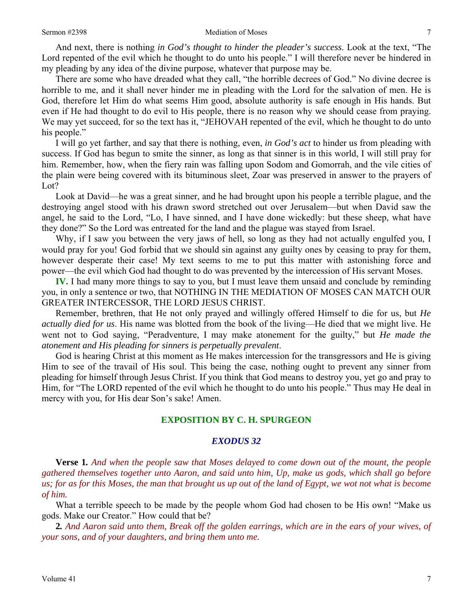And next, there is nothing *in God's thought to hinder the pleader's success*. Look at the text, "The Lord repented of the evil which he thought to do unto his people." I will therefore never be hindered in my pleading by any idea of the divine purpose, whatever that purpose may be.

 There are some who have dreaded what they call, "the horrible decrees of God." No divine decree is horrible to me, and it shall never hinder me in pleading with the Lord for the salvation of men. He is God, therefore let Him do what seems Him good, absolute authority is safe enough in His hands. But even if He had thought to do evil to His people, there is no reason why we should cease from praying. We may yet succeed, for so the text has it, "JEHOVAH repented of the evil, which he thought to do unto his people."

 I will go yet farther, and say that there is nothing, even, *in God's act* to hinder us from pleading with success. If God has begun to smite the sinner, as long as that sinner is in this world, I will still pray for him. Remember, how, when the fiery rain was falling upon Sodom and Gomorrah, and the vile cities of the plain were being covered with its bituminous sleet, Zoar was preserved in answer to the prayers of Lot?

 Look at David—he was a great sinner, and he had brought upon his people a terrible plague, and the destroying angel stood with his drawn sword stretched out over Jerusalem—but when David saw the angel, he said to the Lord, "Lo, I have sinned, and I have done wickedly: but these sheep, what have they done?" So the Lord was entreated for the land and the plague was stayed from Israel.

 Why, if I saw you between the very jaws of hell, so long as they had not actually engulfed you, I would pray for you! God forbid that we should sin against any guilty ones by ceasing to pray for them, however desperate their case! My text seems to me to put this matter with astonishing force and power—the evil which God had thought to do was prevented by the intercession of His servant Moses.

**IV.** I had many more things to say to you, but I must leave them unsaid and conclude by reminding you, in only a sentence or two, that NOTHING IN THE MEDIATION OF MOSES CAN MATCH OUR GREATER INTERCESSOR, THE LORD JESUS CHRIST.

 Remember, brethren, that He not only prayed and willingly offered Himself to die for us, but *He actually died for us*. His name was blotted from the book of the living—He died that we might live. He went not to God saying, "Peradventure, I may make atonement for the guilty," but *He made the atonement and His pleading for sinners is perpetually prevalent*.

 God is hearing Christ at this moment as He makes intercession for the transgressors and He is giving Him to see of the travail of His soul. This being the case, nothing ought to prevent any sinner from pleading for himself through Jesus Christ. If you think that God means to destroy you, yet go and pray to Him, for "The LORD repented of the evil which he thought to do unto his people." Thus may He deal in mercy with you, for His dear Son's sake! Amen.

#### **EXPOSITION BY C. H. SPURGEON**

#### *EXODUS 32*

**Verse 1***. And when the people saw that Moses delayed to come down out of the mount, the people gathered themselves together unto Aaron, and said unto him, Up, make us gods, which shall go before us; for as for this Moses, the man that brought us up out of the land of Egypt, we wot not what is become of him.*

What a terrible speech to be made by the people whom God had chosen to be His own! "Make us gods. Make our Creator." How could that be?

**2***. And Aaron said unto them, Break off the golden earrings, which are in the ears of your wives, of your sons, and of your daughters, and bring them unto me.*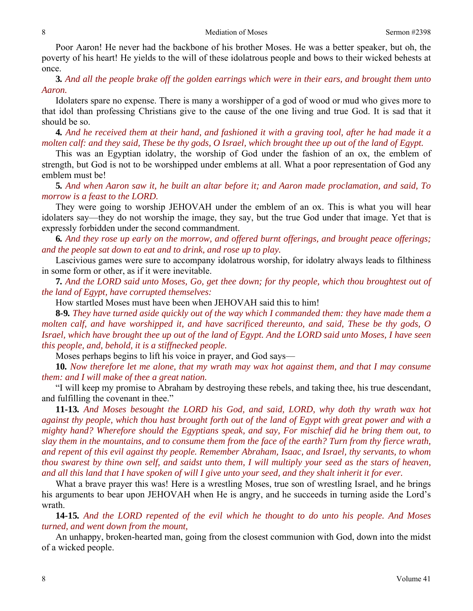Poor Aaron! He never had the backbone of his brother Moses. He was a better speaker, but oh, the poverty of his heart! He yields to the will of these idolatrous people and bows to their wicked behests at once.

**3***. And all the people brake off the golden earrings which were in their ears, and brought them unto Aaron.*

Idolaters spare no expense. There is many a worshipper of a god of wood or mud who gives more to that idol than professing Christians give to the cause of the one living and true God. It is sad that it should be so.

**4***. And he received them at their hand, and fashioned it with a graving tool, after he had made it a molten calf: and they said, These be thy gods, O Israel, which brought thee up out of the land of Egypt.* 

This was an Egyptian idolatry, the worship of God under the fashion of an ox, the emblem of strength, but God is not to be worshipped under emblems at all. What a poor representation of God any emblem must be!

**5***. And when Aaron saw it, he built an altar before it; and Aaron made proclamation, and said, To morrow is a feast to the LORD.*

They were going to worship JEHOVAH under the emblem of an ox. This is what you will hear idolaters say—they do not worship the image, they say, but the true God under that image. Yet that is expressly forbidden under the second commandment.

**6***. And they rose up early on the morrow, and offered burnt offerings, and brought peace offerings; and the people sat down to eat and to drink, and rose up to play.*

Lascivious games were sure to accompany idolatrous worship, for idolatry always leads to filthiness in some form or other, as if it were inevitable.

**7***. And the LORD said unto Moses, Go, get thee down; for thy people, which thou broughtest out of the land of Egypt, have corrupted themselves:*

How startled Moses must have been when JEHOVAH said this to him!

**8***-***9***. They have turned aside quickly out of the way which I commanded them: they have made them a molten calf, and have worshipped it, and have sacrificed thereunto, and said, These be thy gods, O Israel, which have brought thee up out of the land of Egypt. And the LORD said unto Moses, I have seen this people, and, behold, it is a stiffnecked people.*

Moses perhaps begins to lift his voice in prayer, and God says—

**10***. Now therefore let me alone, that my wrath may wax hot against them, and that I may consume them: and I will make of thee a great nation.*

"I will keep my promise to Abraham by destroying these rebels, and taking thee, his true descendant, and fulfilling the covenant in thee."

**11***-***13***. And Moses besought the LORD his God, and said, LORD, why doth thy wrath wax hot against thy people, which thou hast brought forth out of the land of Egypt with great power and with a mighty hand? Wherefore should the Egyptians speak, and say, For mischief did he bring them out, to slay them in the mountains, and to consume them from the face of the earth? Turn from thy fierce wrath, and repent of this evil against thy people. Remember Abraham, Isaac, and Israel, thy servants, to whom thou swarest by thine own self, and saidst unto them, I will multiply your seed as the stars of heaven, and all this land that I have spoken of will I give unto your seed, and they shalt inherit it for ever.*

What a brave prayer this was! Here is a wrestling Moses, true son of wrestling Israel, and he brings his arguments to bear upon JEHOVAH when He is angry, and he succeeds in turning aside the Lord's wrath.

**14***-***15***. And the LORD repented of the evil which he thought to do unto his people. And Moses turned, and went down from the mount,* 

An unhappy, broken-hearted man, going from the closest communion with God, down into the midst of a wicked people.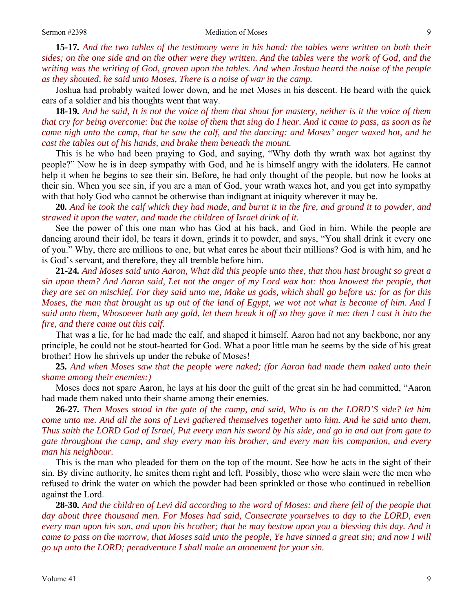**15***-***17***. And the two tables of the testimony were in his hand: the tables were written on both their sides; on the one side and on the other were they written. And the tables were the work of God, and the writing was the writing of God, graven upon the tables. And when Joshua heard the noise of the people as they shouted, he said unto Moses, There is a noise of war in the camp.*

Joshua had probably waited lower down, and he met Moses in his descent. He heard with the quick ears of a soldier and his thoughts went that way.

**18***-***19***. And he said, It is not the voice of them that shout for mastery, neither is it the voice of them that cry for being overcome: but the noise of them that sing do I hear. And it came to pass, as soon as he came nigh unto the camp, that he saw the calf, and the dancing: and Moses' anger waxed hot, and he cast the tables out of his hands, and brake them beneath the mount.*

This is he who had been praying to God, and saying, "Why doth thy wrath wax hot against thy people?" Now he is in deep sympathy with God, and he is himself angry with the idolaters. He cannot help it when he begins to see their sin. Before, he had only thought of the people, but now he looks at their sin. When you see sin, if you are a man of God, your wrath waxes hot, and you get into sympathy with that holy God who cannot be otherwise than indignant at iniquity wherever it may be.

**20***. And he took the calf which they had made, and burnt it in the fire, and ground it to powder, and strawed it upon the water, and made the children of Israel drink of it.*

See the power of this one man who has God at his back, and God in him. While the people are dancing around their idol, he tears it down, grinds it to powder, and says, "You shall drink it every one of you." Why, there are millions to one, but what cares he about their millions? God is with him, and he is God's servant, and therefore, they all tremble before him.

**21***-***24***. And Moses said unto Aaron, What did this people unto thee, that thou hast brought so great a sin upon them? And Aaron said, Let not the anger of my Lord wax hot: thou knowest the people, that they are set on mischief. For they said unto me, Make us gods, which shall go before us: for as for this Moses, the man that brought us up out of the land of Egypt, we wot not what is become of him. And I said unto them, Whosoever hath any gold, let them break it off so they gave it me: then I cast it into the fire, and there came out this calf.*

That was a lie, for he had made the calf, and shaped it himself. Aaron had not any backbone, nor any principle, he could not be stout-hearted for God. What a poor little man he seems by the side of his great brother! How he shrivels up under the rebuke of Moses!

**25***. And when Moses saw that the people were naked; (for Aaron had made them naked unto their shame among their enemies:)* 

Moses does not spare Aaron, he lays at his door the guilt of the great sin he had committed, "Aaron had made them naked unto their shame among their enemies.

**26***-***27***. Then Moses stood in the gate of the camp, and said, Who is on the LORD'S side? let him come unto me. And all the sons of Levi gathered themselves together unto him. And he said unto them, Thus saith the LORD God of Israel, Put every man his sword by his side, and go in and out from gate to gate throughout the camp, and slay every man his brother, and every man his companion, and every man his neighbour.*

This is the man who pleaded for them on the top of the mount. See how he acts in the sight of their sin. By divine authority, he smites them right and left. Possibly, those who were slain were the men who refused to drink the water on which the powder had been sprinkled or those who continued in rebellion against the Lord.

**28***-***30***. And the children of Levi did according to the word of Moses: and there fell of the people that day about three thousand men. For Moses had said, Consecrate yourselves to day to the LORD, even every man upon his son, and upon his brother; that he may bestow upon you a blessing this day. And it came to pass on the morrow, that Moses said unto the people, Ye have sinned a great sin; and now I will go up unto the LORD; peradventure I shall make an atonement for your sin.*